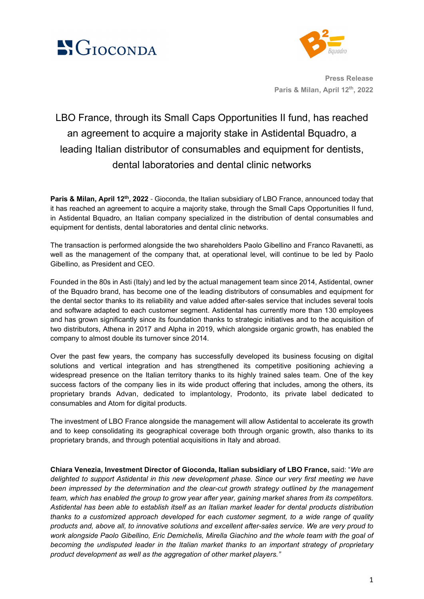



**Press Release Paris & Milan, April 12th, 2022**

## LBO France, through its Small Caps Opportunities II fund, has reached an agreement to acquire a majority stake in Astidental Bquadro, a leading Italian distributor of consumables and equipment for dentists, dental laboratories and dental clinic networks

**Paris & Milan, April 12th, 2022 -** Gioconda, the Italian subsidiary of LBO France, announced today that it has reached an agreement to acquire a majority stake, through the Small Caps Opportunities II fund, in Astidental Bquadro, an Italian company specialized in the distribution of dental consumables and equipment for dentists, dental laboratories and dental clinic networks.

The transaction is performed alongside the two shareholders Paolo Gibellino and Franco Ravanetti, as well as the management of the company that, at operational level, will continue to be led by Paolo Gibellino, as President and CEO.

Founded in the 80s in Asti (Italy) and led by the actual management team since 2014, Astidental, owner of the Bquadro brand, has become one of the leading distributors of consumables and equipment for the dental sector thanks to its reliability and value added after-sales service that includes several tools and software adapted to each customer segment. Astidental has currently more than 130 employees and has grown significantly since its foundation thanks to strategic initiatives and to the acquisition of two distributors, Athena in 2017 and Alpha in 2019, which alongside organic growth, has enabled the company to almost double its turnover since 2014.

Over the past few years, the company has successfully developed its business focusing on digital solutions and vertical integration and has strengthened its competitive positioning achieving a widespread presence on the Italian territory thanks to its highly trained sales team. One of the key success factors of the company lies in its wide product offering that includes, among the others, its proprietary brands Advan, dedicated to implantology, Prodonto, its private label dedicated to consumables and Atom for digital products.

The investment of LBO France alongside the management will allow Astidental to accelerate its growth and to keep consolidating its geographical coverage both through organic growth, also thanks to its proprietary brands, and through potential acquisitions in Italy and abroad.

**Chiara Venezia, Investment Director of Gioconda, Italian subsidiary of LBO France,** said: "*We are delighted to support Astidental in this new development phase. Since our very first meeting we have been impressed by the determination and the clear-cut growth strategy outlined by the management team, which has enabled the group to grow year after year, gaining market shares from its competitors. Astidental has been able to establish itself as an Italian market leader for dental products distribution thanks to a customized approach developed for each customer segment, to a wide range of quality products and, above all, to innovative solutions and excellent after-sales service. We are very proud to work alongside Paolo Gibellino, Eric Demichelis, Mirella Giachino and the whole team with the goal of becoming the undisputed leader in the Italian market thanks to an important strategy of proprietary product development as well as the aggregation of other market players."*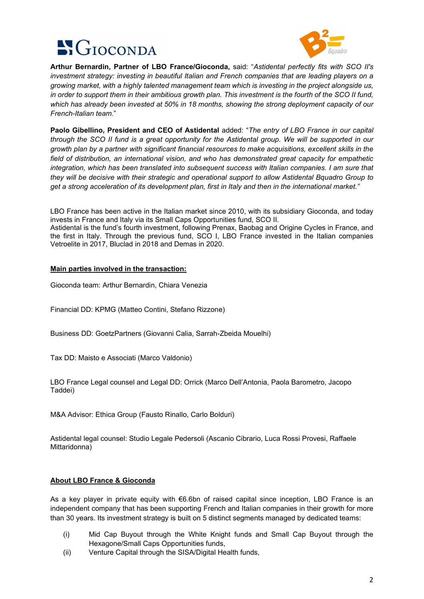



 $\overline{a}$ **Arthur Bernardin, Partner of LBO France/Gioconda,** said: "*Astidental perfectly fits with SCO II's investment strategy: investing in beautiful Italian and French companies that are leading players on a growing market, with a highly talented management team which is investing in the project alongside us, in order to support them in their ambitious growth plan. This investment is the fourth of the SCO II fund, which has already been invested at 50% in 18 months, showing the strong deployment capacity of our French-Italian team.*"

**Paolo Gibellino, President and CEO of Astidental** added: "*The entry of LBO France in our capital through the SCO II fund is a great opportunity for the Astidental group. We will be supported in our growth plan by a partner with significant financial resources to make acquisitions, excellent skills in the field of distribution, an international vision, and who has demonstrated great capacity for empathetic integration, which has been translated into subsequent success with Italian companies. I am sure that they will be decisive with their strategic and operational support to allow Astidental Bquadro Group to get a strong acceleration of its development plan, first in Italy and then in the international market."*

LBO France has been active in the Italian market since 2010, with its subsidiary Gioconda, and today invests in France and Italy via its Small Caps Opportunities fund, SCO II.

Astidental is the fund's fourth investment, following Prenax, Baobag and Origine Cycles in France, and the first in Italy. Through the previous fund, SCO I, LBO France invested in the Italian companies Vetroelite in 2017, Bluclad in 2018 and Demas in 2020.

## **Main parties involved in the transaction:**

Gioconda team: Arthur Bernardin, Chiara Venezia

Financial DD: KPMG (Matteo Contini, Stefano Rizzone)

Business DD: GoetzPartners (Giovanni Calia, Sarrah-Zbeida Mouelhi)

Tax DD: Maisto e Associati (Marco Valdonio)

LBO France Legal counsel and Legal DD: Orrick (Marco Dell'Antonia, Paola Barometro, Jacopo Taddei)

M&A Advisor: Ethica Group (Fausto Rinallo, Carlo Bolduri)

Astidental legal counsel: Studio Legale Pedersoli (Ascanio Cibrario, Luca Rossi Provesi, Raffaele Mittaridonna)

## **About LBO France & Gioconda**

As a key player in private equity with €6.6bn of raised capital since inception, LBO France is an independent company that has been supporting French and Italian companies in their growth for more than 30 years. Its investment strategy is built on 5 distinct segments managed by dedicated teams:

- (i) Mid Cap Buyout through the White Knight funds and Small Cap Buyout through the Hexagone/Small Caps Opportunities funds,
- (ii) Venture Capital through the SISA/Digital Health funds,